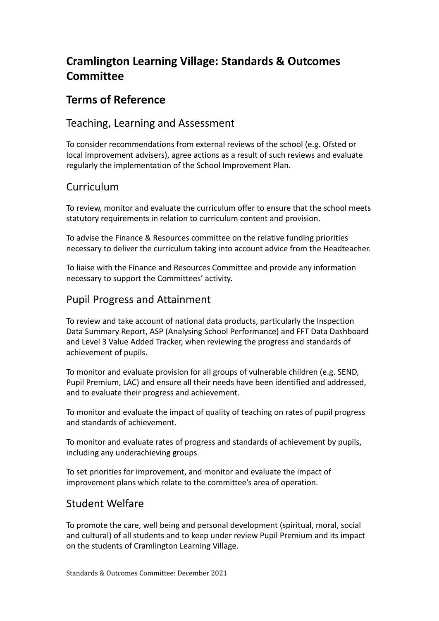# **Cramlington Learning Village: Standards & Outcomes Committee**

## **Terms of Reference**

## Teaching, Learning and Assessment

To consider recommendations from external reviews of the school (e.g. Ofsted or local improvement advisers), agree actions as a result of such reviews and evaluate regularly the implementation of the School Improvement Plan.

## Curriculum

To review, monitor and evaluate the curriculum offer to ensure that the school meets statutory requirements in relation to curriculum content and provision.

To advise the Finance & Resources committee on the relative funding priorities necessary to deliver the curriculum taking into account advice from the Headteacher.

To liaise with the Finance and Resources Committee and provide any information necessary to support the Committees' activity.

## Pupil Progress and Attainment

To review and take account of national data products, particularly the Inspection Data Summary Report, ASP (Analysing School Performance) and FFT Data Dashboard and Level 3 Value Added Tracker, when reviewing the progress and standards of achievement of pupils.

To monitor and evaluate provision for all groups of vulnerable children (e.g. SEND, Pupil Premium, LAC) and ensure all their needs have been identified and addressed, and to evaluate their progress and achievement.

To monitor and evaluate the impact of quality of teaching on rates of pupil progress and standards of achievement.

To monitor and evaluate rates of progress and standards of achievement by pupils, including any underachieving groups.

To set priorities for improvement, and monitor and evaluate the impact of improvement plans which relate to the committee's area of operation.

## Student Welfare

To promote the care, well being and personal development (spiritual, moral, social and cultural) of all students and to keep under review Pupil Premium and its impact on the students of Cramlington Learning Village.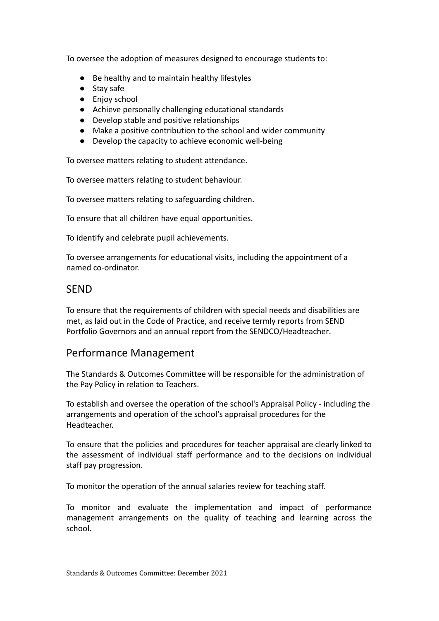To oversee the adoption of measures designed to encourage students to:

- Be healthy and to maintain healthy lifestyles
- Stay safe
- Eniov school
- Achieve personally challenging educational standards
- Develop stable and positive relationships
- Make a positive contribution to the school and wider community
- Develop the capacity to achieve economic well-being

To oversee matters relating to student attendance.

To oversee matters relating to student behaviour.

To oversee matters relating to safeguarding children.

To ensure that all children have equal opportunities.

To identify and celebrate pupil achievements.

To oversee arrangements for educational visits, including the appointment of a named co-ordinator.

#### SEND

To ensure that the requirements of children with special needs and disabilities are met, as laid out in the Code of Practice, and receive termly reports from SEND Portfolio Governors and an annual report from the SENDCO/Headteacher.

#### Performance Management

The Standards & Outcomes Committee will be responsible for the administration of the Pay Policy in relation to Teachers.

To establish and oversee the operation of the school's Appraisal Policy - including the arrangements and operation of the school's appraisal procedures for the Headteacher.

To ensure that the policies and procedures for teacher appraisal are clearly linked to the assessment of individual staff performance and to the decisions on individual staff pay progression.

To monitor the operation of the annual salaries review for teaching staff.

To monitor and evaluate the implementation and impact of performance management arrangements on the quality of teaching and learning across the school.